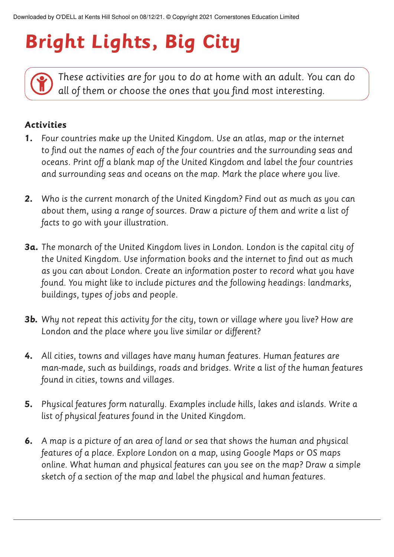## **Bright Lights, Big City**

*These activities are for you to do at home with an adult. You can do all of them or choose the ones that you find most interesting.*

## **Activities**

- **1.** *Four countries make up the United Kingdom. Use an atlas, map or the internet to find out the names of each of the four countries and the surrounding seas and oceans. Print off a blank map of the United Kingdom and label the four countries and surrounding seas and oceans on the map. Mark the place where you live.*
- **2.** *Who is the current monarch of the United Kingdom? Find out as much as you can about them, using a range of sources. Draw a picture of them and write a list of facts to go with your illustration.*
- **3a.** *The monarch of the United Kingdom lives in London. London is the capital city of the United Kingdom. Use information books and the internet to find out as much as you can about London. Create an information poster to record what you have found. You might like to include pictures and the following headings: landmarks, buildings, types of jobs and people.*
- **3b.** *Why not repeat this activity for the city, town or village where you live? How are London and the place where you live similar or different?*
- **4.** *All cities, towns and villages have many human features. Human features are man-made, such as buildings, roads and bridges. Write a list of the human features found in cities, towns and villages.*
- **5.** *Physical features form naturally. Examples include hills, lakes and islands. Write a list of physical features found in the United Kingdom.*
- **6.** *A map is a picture of an area of land or sea that shows the human and physical features of a place. Explore London on a map, using Google Maps or OS maps online. What human and physical features can you see on the map? Draw a simple sketch of a section of the map and label the physical and human features.*